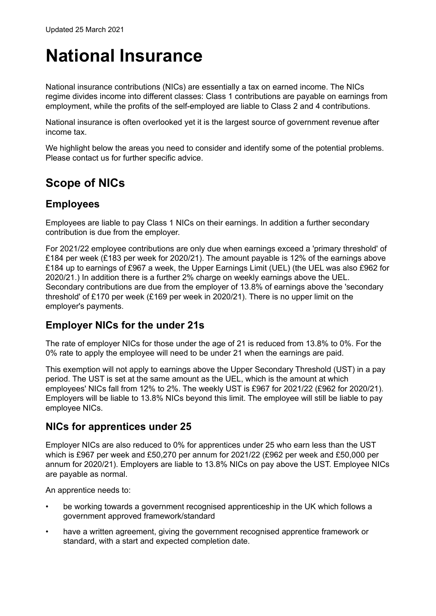# **National Insurance**

National insurance contributions (NICs) are essentially a tax on earned income. The NICs regime divides income into different classes: Class 1 contributions are payable on earnings from employment, while the profits of the self-employed are liable to Class 2 and 4 contributions.

National insurance is often overlooked yet it is the largest source of government revenue after income tax.

We highlight below the areas you need to consider and identify some of the potential problems. Please contact us for further specific advice.

# **Scope of NICs**

# **Employees**

Employees are liable to pay Class 1 NICs on their earnings. In addition a further secondary contribution is due from the employer.

For 2021/22 employee contributions are only due when earnings exceed a 'primary threshold' of £184 per week (£183 per week for 2020/21). The amount payable is 12% of the earnings above £184 up to earnings of £967 a week, the Upper Earnings Limit (UEL) (the UEL was also £962 for 2020/21.) In addition there is a further 2% charge on weekly earnings above the UEL. Secondary contributions are due from the employer of 13.8% of earnings above the 'secondary threshold' of £170 per week (£169 per week in 2020/21). There is no upper limit on the employer's payments.

## **Employer NICs for the under 21s**

The rate of employer NICs for those under the age of 21 is reduced from 13.8% to 0%. For the 0% rate to apply the employee will need to be under 21 when the earnings are paid.

This exemption will not apply to earnings above the Upper Secondary Threshold (UST) in a pay period. The UST is set at the same amount as the UEL, which is the amount at which employees' NICs fall from 12% to 2%. The weekly UST is £967 for 2021/22 (£962 for 2020/21). Employers will be liable to 13.8% NICs beyond this limit. The employee will still be liable to pay employee NICs.

## **NICs for apprentices under 25**

Employer NICs are also reduced to 0% for apprentices under 25 who earn less than the UST which is £967 per week and £50,270 per annum for 2021/22 (£962 per week and £50,000 per annum for 2020/21). Employers are liable to 13.8% NICs on pay above the UST. Employee NICs are payable as normal.

An apprentice needs to:

- be working towards a government recognised apprenticeship in the UK which follows a government approved framework/standard
- have a written agreement, giving the government recognised apprentice framework or standard, with a start and expected completion date.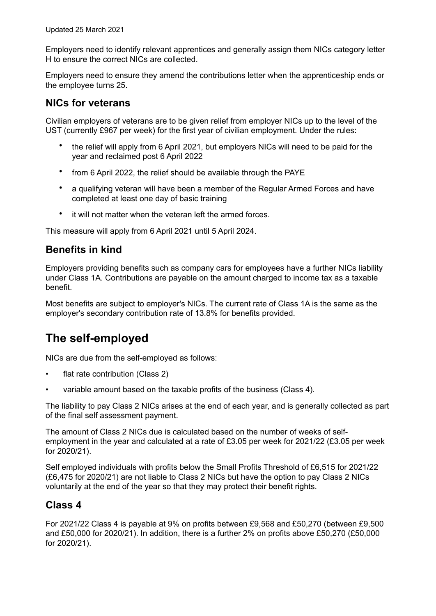Employers need to identify relevant apprentices and generally assign them NICs category letter H to ensure the correct NICs are collected.

Employers need to ensure they amend the contributions letter when the apprenticeship ends or the employee turns 25.

#### **NICs for veterans**

Civilian employers of veterans are to be given relief from employer NICs up to the level of the UST (currently £967 per week) for the first year of civilian employment. Under the rules:

- the relief will apply from 6 April 2021, but employers NICs will need to be paid for the year and reclaimed post 6 April 2022
- from 6 April 2022, the relief should be available through the PAYE
- a qualifying veteran will have been a member of the Regular Armed Forces and have completed at least one day of basic training
- it will not matter when the veteran left the armed forces.

This measure will apply from 6 April 2021 until 5 April 2024.

## **Benefits in kind**

Employers providing benefits such as company cars for employees have a further NICs liability under Class 1A. Contributions are payable on the amount charged to income tax as a taxable benefit.

Most benefits are subject to employer's NICs. The current rate of Class 1A is the same as the employer's secondary contribution rate of 13.8% for benefits provided.

# **The self-employed**

NICs are due from the self-employed as follows:

- flat rate contribution (Class 2)
- variable amount based on the taxable profits of the business (Class 4).

The liability to pay Class 2 NICs arises at the end of each year, and is generally collected as part of the final self assessment payment.

The amount of Class 2 NICs due is calculated based on the number of weeks of selfemployment in the year and calculated at a rate of £3.05 per week for 2021/22 (£3.05 per week for 2020/21).

Self employed individuals with profits below the Small Profits Threshold of £6,515 for 2021/22 (£6,475 for 2020/21) are not liable to Class 2 NICs but have the option to pay Class 2 NICs voluntarily at the end of the year so that they may protect their benefit rights.

## **Class 4**

For 2021/22 Class 4 is payable at 9% on profits between £9,568 and £50,270 (between £9,500 and £50,000 for 2020/21). In addition, there is a further 2% on profits above £50,270 (£50,000 for 2020/21).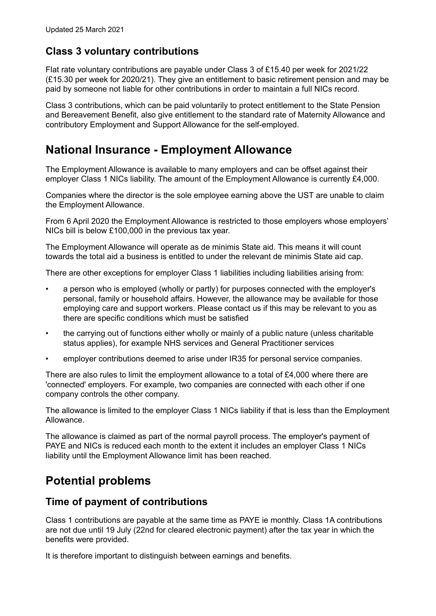# **Class 3 voluntary contributions**

Flat rate voluntary contributions are payable under Class 3 of £15.40 per week for 2021/22 (£15.30 per week for 2020/21). They give an entitlement to basic retirement pension and may be paid by someone not liable for other contributions in order to maintain a full NICs record.

Class 3 contributions, which can be paid voluntarily to protect entitlement to the State Pension and Bereavement Benefit, also give entitlement to the standard rate of Maternity Allowance and contributory Employment and Support Allowance for the self-employed.

# **National Insurance - Employment Allowance**

The Employment Allowance is available to many employers and can be offset against their employer Class 1 NICs liability. The amount of the Employment Allowance is currently £4,000.

Companies where the director is the sole employee earning above the UST are unable to claim the Employment Allowance.

From 6 April 2020 the Employment Allowance is restricted to those employers whose employers' NICs bill is below £100,000 in the previous tax year.

The Employment Allowance will operate as de minimis State aid. This means it will count towards the total aid a business is entitled to under the relevant de minimis State aid cap.

There are other exceptions for employer Class 1 liabilities including liabilities arising from:

- a person who is employed (wholly or partly) for purposes connected with the employer's personal, family or household affairs. However, the allowance may be available for those employing care and support workers. Please contact us if this may be relevant to you as there are specific conditions which must be satisfied
- the carrying out of functions either wholly or mainly of a public nature (unless charitable status applies), for example NHS services and General Practitioner services
- employer contributions deemed to arise under IR35 for personal service companies.

There are also rules to limit the employment allowance to a total of £4,000 where there are 'connected' employers. For example, two companies are connected with each other if one company controls the other company.

The allowance is limited to the employer Class 1 NICs liability if that is less than the Employment Allowance.

The allowance is claimed as part of the normal payroll process. The employer's payment of PAYE and NICs is reduced each month to the extent it includes an employer Class 1 NICs liability until the Employment Allowance limit has been reached.

# **Potential problems**

#### **Time of payment of contributions**

Class 1 contributions are payable at the same time as PAYE ie monthly. Class 1A contributions are not due until 19 July (22nd for cleared electronic payment) after the tax year in which the benefits were provided.

It is therefore important to distinguish between earnings and benefits.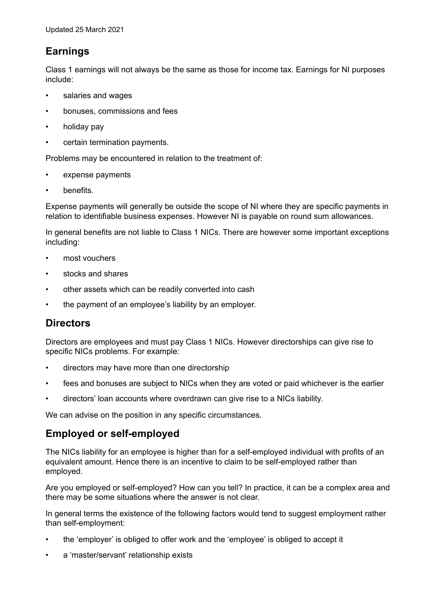# **Earnings**

Class 1 earnings will not always be the same as those for income tax. Earnings for NI purposes include:

- salaries and wages
- bonuses, commissions and fees
- holiday pay
- certain termination payments.

Problems may be encountered in relation to the treatment of:

- expense payments
- benefits.

Expense payments will generally be outside the scope of NI where they are specific payments in relation to identifiable business expenses. However NI is payable on round sum allowances.

In general benefits are not liable to Class 1 NICs. There are however some important exceptions including:

- most vouchers
- stocks and shares
- other assets which can be readily converted into cash
- the payment of an employee's liability by an employer.

## **Directors**

Directors are employees and must pay Class 1 NICs. However directorships can give rise to specific NICs problems. For example:

- directors may have more than one directorship
- fees and bonuses are subject to NICs when they are voted or paid whichever is the earlier
- directors' loan accounts where overdrawn can give rise to a NICs liability.

We can advise on the position in any specific circumstances.

## **Employed or self-employed**

The NICs liability for an employee is higher than for a self-employed individual with profits of an equivalent amount. Hence there is an incentive to claim to be self-employed rather than employed.

Are you employed or self-employed? How can you tell? In practice, it can be a complex area and there may be some situations where the answer is not clear.

In general terms the existence of the following factors would tend to suggest employment rather than self-employment:

- the 'employer' is obliged to offer work and the 'employee' is obliged to accept it
- a 'master/servant' relationship exists